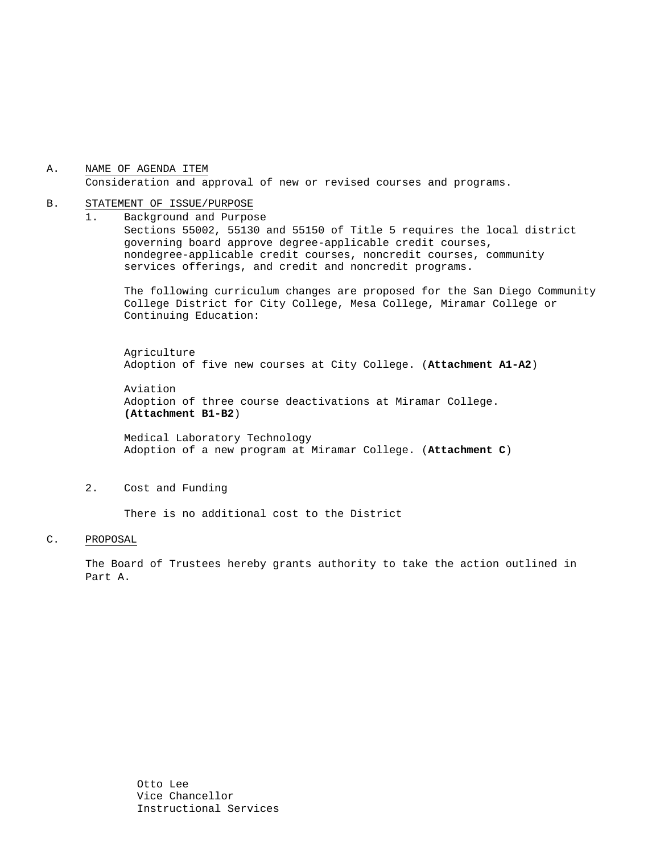A. NAME OF AGENDA ITEM Consideration and approval of new or revised courses and programs.

#### B. STATEMENT OF ISSUE/PURPOSE

1. Background and Purpose Sections 55002, 55130 and 55150 of Title 5 requires the local district governing board approve degree-applicable credit courses, nondegree-applicable credit courses, noncredit courses, community services offerings, and credit and noncredit programs.

The following curriculum changes are proposed for the San Diego Community College District for City College, Mesa College, Miramar College or Continuing Education:

 Agriculture Adoption of five new courses at City College. (**Attachment A1-A2**)

Aviation Adoption of three course deactivations at Miramar College. **(Attachment B1-B2**)

Medical Laboratory Technology Adoption of a new program at Miramar College. (**Attachment C**)

#### 2. Cost and Funding

There is no additional cost to the District

## C. PROPOSAL

The Board of Trustees hereby grants authority to take the action outlined in Part A.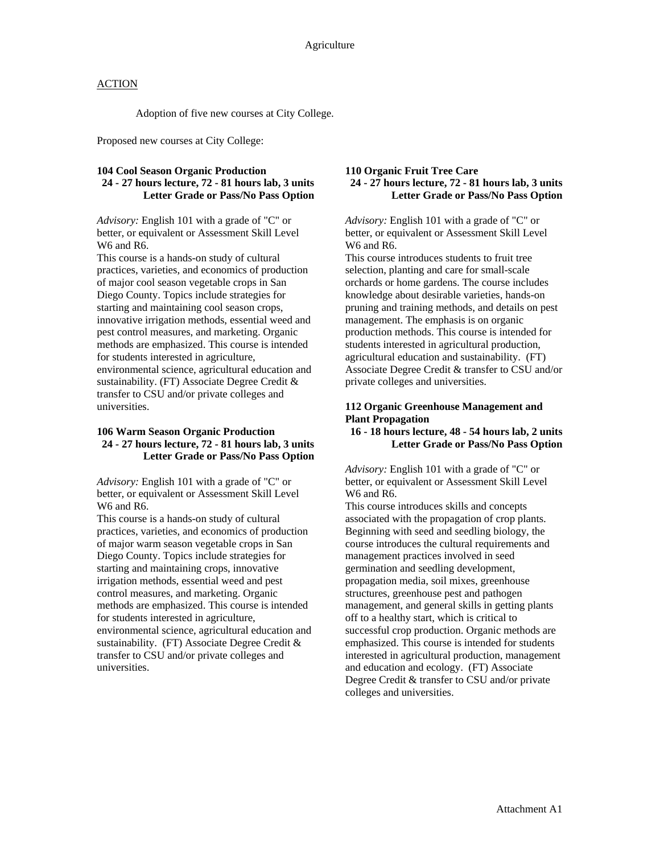## **ACTION**

Adoption of five new courses at City College.

Proposed new courses at City College:

# **104 Cool Season Organic Production**

**24 - 27 hours lecture, 72 - 81 hours lab, 3 units Letter Grade or Pass/No Pass Option** 

*Advisory:* English 101 with a grade of "C" or better, or equivalent or Assessment Skill Level W6 and R6.

This course is a hands-on study of cultural practices, varieties, and economics of production of major cool season vegetable crops in San Diego County. Topics include strategies for starting and maintaining cool season crops, innovative irrigation methods, essential weed and pest control measures, and marketing. Organic methods are emphasized. This course is intended for students interested in agriculture, environmental science, agricultural education and sustainability. (FT) Associate Degree Credit & transfer to CSU and/or private colleges and universities.

## **106 Warm Season Organic Production 24 - 27 hours lecture, 72 - 81 hours lab, 3 units Letter Grade or Pass/No Pass Option**

*Advisory:* English 101 with a grade of "C" or better, or equivalent or Assessment Skill Level W6 and R6.

This course is a hands-on study of cultural practices, varieties, and economics of production of major warm season vegetable crops in San Diego County. Topics include strategies for starting and maintaining crops, innovative irrigation methods, essential weed and pest control measures, and marketing. Organic methods are emphasized. This course is intended for students interested in agriculture, environmental science, agricultural education and sustainability. (FT) Associate Degree Credit & transfer to CSU and/or private colleges and universities.

## **110 Organic Fruit Tree Care 24 - 27 hours lecture, 72 - 81 hours lab, 3 units Letter Grade or Pass/No Pass Option**

*Advisory:* English 101 with a grade of "C" or better, or equivalent or Assessment Skill Level W<sub>6</sub> and R<sub>6</sub>.

This course introduces students to fruit tree selection, planting and care for small-scale orchards or home gardens. The course includes knowledge about desirable varieties, hands-on pruning and training methods, and details on pest management. The emphasis is on organic production methods. This course is intended for students interested in agricultural production, agricultural education and sustainability. (FT) Associate Degree Credit & transfer to CSU and/or private colleges and universities.

## **112 Organic Greenhouse Management and Plant Propagation**

**16 - 18 hours lecture, 48 - 54 hours lab, 2 units Letter Grade or Pass/No Pass Option** 

*Advisory:* English 101 with a grade of "C" or better, or equivalent or Assessment Skill Level W<sub>6</sub> and R<sub>6</sub>.

This course introduces skills and concepts associated with the propagation of crop plants. Beginning with seed and seedling biology, the course introduces the cultural requirements and management practices involved in seed germination and seedling development, propagation media, soil mixes, greenhouse structures, greenhouse pest and pathogen management, and general skills in getting plants off to a healthy start, which is critical to successful crop production. Organic methods are emphasized. This course is intended for students interested in agricultural production, management and education and ecology. (FT) Associate Degree Credit & transfer to CSU and/or private colleges and universities.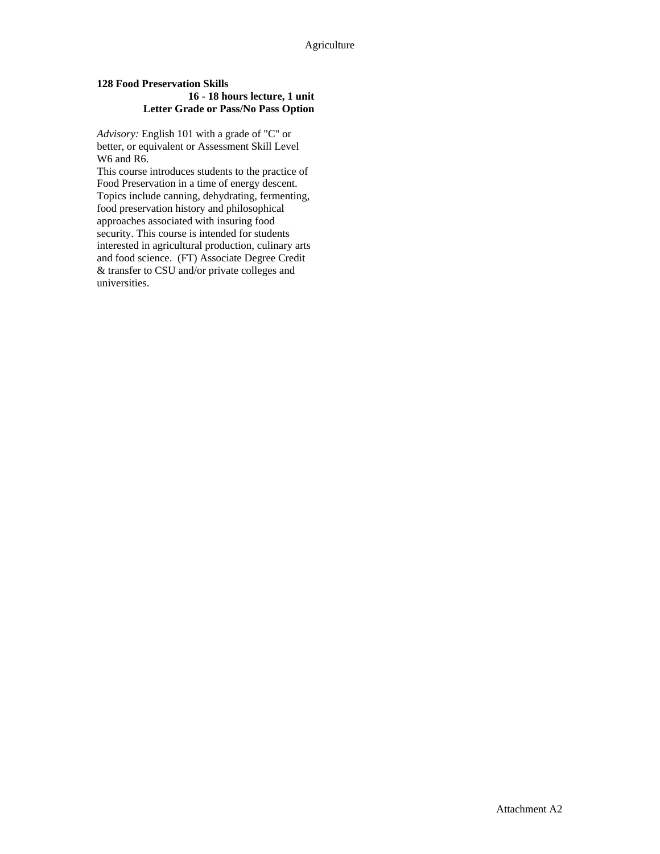## **128 Food Preservation Skills 16 - 18 hours lecture, 1 unit Letter Grade or Pass/No Pass Option**

*Advisory:* English 101 with a grade of "C" or better, or equivalent or Assessment Skill Level W6 and R6.

This course introduces students to the practice of Food Preservation in a time of energy descent. Topics include canning, dehydrating, fermenting, food preservation history and philosophical approaches associated with insuring food security. This course is intended for students interested in agricultural production, culinary arts and food science. (FT) Associate Degree Credit & transfer to CSU and/or private colleges and universities.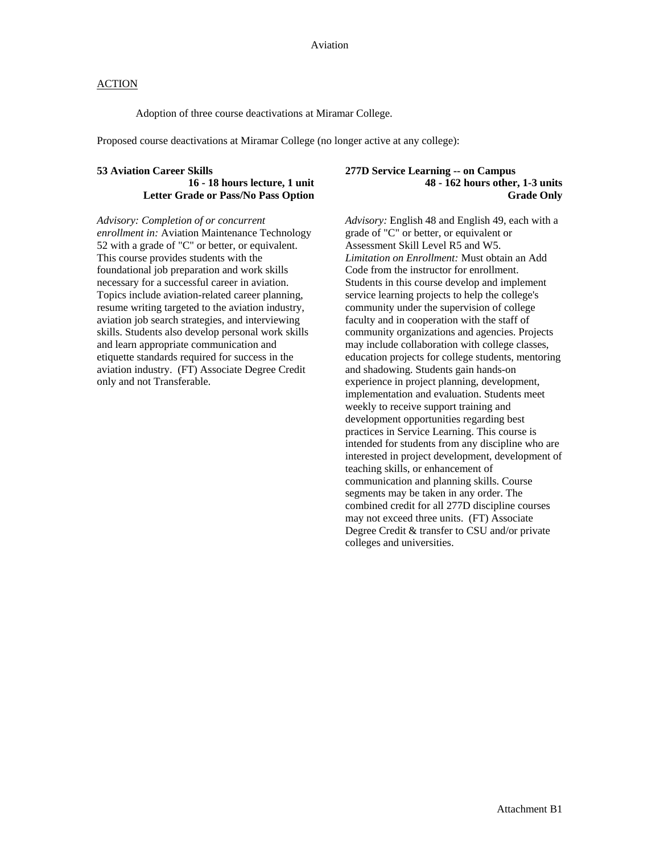## **ACTION**

Adoption of three course deactivations at Miramar College.

Proposed course deactivations at Miramar College (no longer active at any college):

### **53 Aviation Career Skills**

**16 - 18 hours lecture, 1 unit Letter Grade or Pass/No Pass Option** 

*Advisory: Completion of or concurrent enrollment in:* Aviation Maintenance Technology 52 with a grade of "C" or better, or equivalent. This course provides students with the foundational job preparation and work skills necessary for a successful career in aviation. Topics include aviation-related career planning, resume writing targeted to the aviation industry, aviation job search strategies, and interviewing skills. Students also develop personal work skills and learn appropriate communication and etiquette standards required for success in the aviation industry. (FT) Associate Degree Credit only and not Transferable.

### **277D Service Learning -- on Campus 48 - 162 hours other, 1-3 units Grade Only**

*Advisory:* English 48 and English 49, each with a grade of "C" or better, or equivalent or Assessment Skill Level R5 and W5. *Limitation on Enrollment:* Must obtain an Add Code from the instructor for enrollment. Students in this course develop and implement service learning projects to help the college's community under the supervision of college faculty and in cooperation with the staff of community organizations and agencies. Projects may include collaboration with college classes, education projects for college students, mentoring and shadowing. Students gain hands-on experience in project planning, development, implementation and evaluation. Students meet weekly to receive support training and development opportunities regarding best practices in Service Learning. This course is intended for students from any discipline who are interested in project development, development of teaching skills, or enhancement of communication and planning skills. Course segments may be taken in any order. The combined credit for all 277D discipline courses may not exceed three units. (FT) Associate Degree Credit & transfer to CSU and/or private colleges and universities.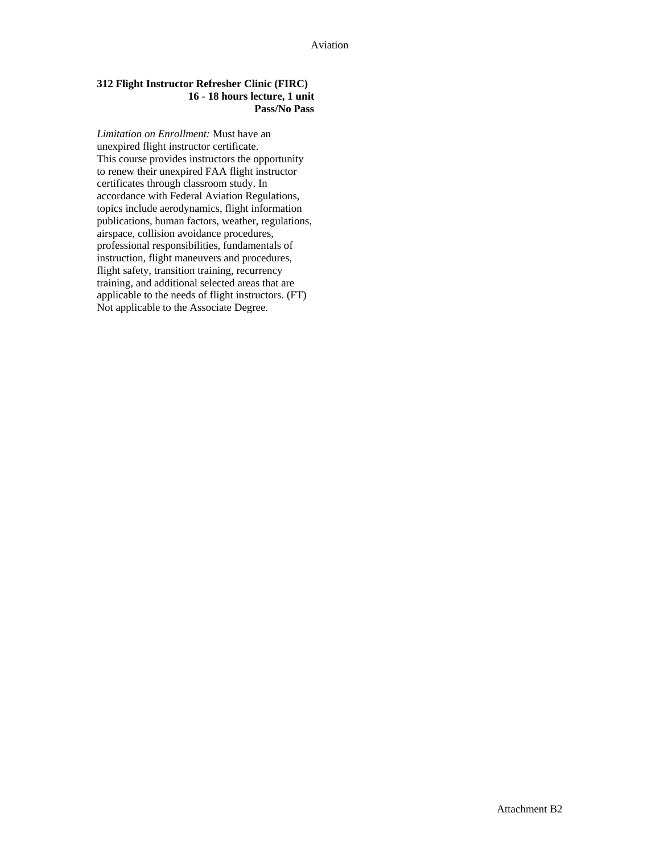## **312 Flight Instructor Refresher Clinic (FIRC) 16 - 18 hours lecture, 1 unit Pass/No Pass**

*Limitation on Enrollment:* Must have an unexpired flight instructor certificate. This course provides instructors the opportunity to renew their unexpired FAA flight instructor certificates through classroom study. In accordance with Federal Aviation Regulations, topics include aerodynamics, flight information publications, human factors, weather, regulations, airspace, collision avoidance procedures, professional responsibilities, fundamentals of instruction, flight maneuvers and procedures, flight safety, transition training, recurrency training, and additional selected areas that are applicable to the needs of flight instructors. (FT) Not applicable to the Associate Degree.